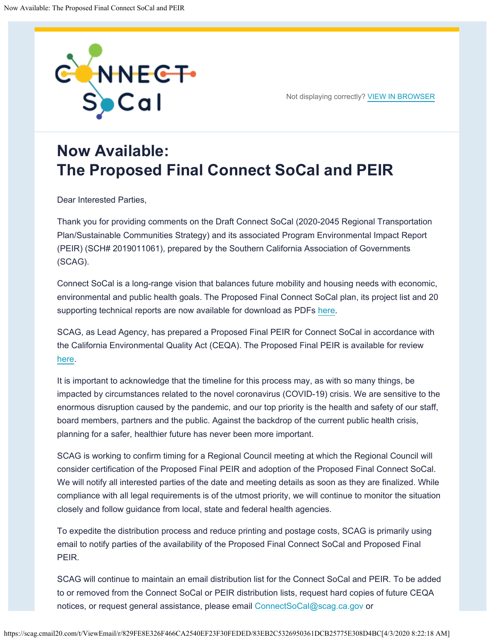

Not displaying correctly? [VIEW IN BROWSER](https://scag.createsend1.com/t/r-e-jhhltrik-omijkuurd-i/)

## **Now Available: The Proposed Final Connect SoCal and PEIR**

Dear Interested Parties,

Thank you for providing comments on the Draft Connect SoCal (2020-2045 Regional Transportation Plan/Sustainable Communities Strategy) and its associated Program Environmental Impact Report (PEIR) (SCH# 2019011061), prepared by the Southern California Association of Governments (SCAG).

Connect SoCal is a long-range vision that balances future mobility and housing needs with economic, environmental and public health goals. The Proposed Final Connect SoCal plan, its project list and 20 supporting technical reports are now available for download as PDFs [here](https://scag.createsend1.com/t/r-l-jhhltrik-omijkuurd-y/).

SCAG, as Lead Agency, has prepared a Proposed Final PEIR for Connect SoCal in accordance with the California Environmental Quality Act (CEQA). The Proposed Final PEIR is available for review [here.](https://scag.createsend1.com/t/r-l-jhhltrik-omijkuurd-j/)

It is important to acknowledge that the timeline for this process may, as with so many things, be impacted by circumstances related to the novel coronavirus (COVID-19) crisis. We are sensitive to the enormous disruption caused by the pandemic, and our top priority is the health and safety of our staff, board members, partners and the public. Against the backdrop of the current public health crisis, planning for a safer, healthier future has never been more important.

SCAG is working to confirm timing for a Regional Council meeting at which the Regional Council will consider certification of the Proposed Final PEIR and adoption of the Proposed Final Connect SoCal. We will notify all interested parties of the date and meeting details as soon as they are finalized. While compliance with all legal requirements is of the utmost priority, we will continue to monitor the situation closely and follow guidance from local, state and federal health agencies.

To expedite the distribution process and reduce printing and postage costs, SCAG is primarily using email to notify parties of the availability of the Proposed Final Connect SoCal and Proposed Final PEIR.

SCAG will continue to maintain an email distribution list for the Connect SoCal and PEIR. To be added to or removed from the Connect SoCal or PEIR distribution lists, request hard copies of future CEQA notices, or request general assistance, please email [ConnectSoCal@scag.ca.gov](mailto:connectsocal@scag.ca.gov) or